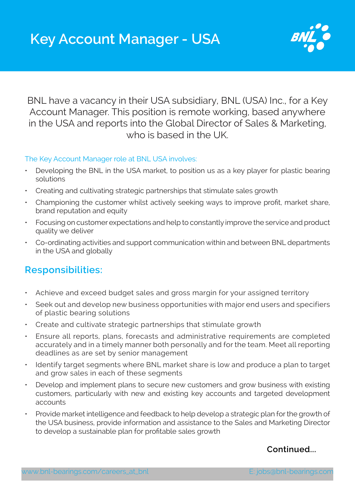

BNL have a vacancy in their USA subsidiary, BNL (USA) Inc., for a Key Account Manager. This position is remote working, based anywhere in the USA and reports into the Global Director of Sales & Marketing, who is based in the UK.

## The Key Account Manager role at BNL USA involves:

- Developing the BNL in the USA market, to position us as a key player for plastic bearing solutions
- Creating and cultivating strategic partnerships that stimulate sales growth
- Championing the customer whilst actively seeking ways to improve profit, market share, brand reputation and equity
- Focusing on customer expectations and help to constantly improve the service and product quality we deliver
- Co-ordinating activities and support communication within and between BNL departments in the USA and globally

## **Responsibilities:**

- Achieve and exceed budget sales and gross margin for your assigned territory
- Seek out and develop new business opportunities with major end users and specifiers of plastic bearing solutions
- Create and cultivate strategic partnerships that stimulate growth
- Ensure all reports, plans, forecasts and administrative requirements are completed accurately and in a timely manner both personally and for the team. Meet all reporting deadlines as are set by senior management
- Identify target segments where BNL market share is low and produce a plan to target and grow sales in each of these segments
- Develop and implement plans to secure new customers and grow business with existing customers, particularly with new and existing key accounts and targeted development accounts
- Provide market intelligence and feedback to help develop a strategic plan for the growth of the USA business, provide information and assistance to the Sales and Marketing Director to develop a sustainable plan for profitable sales growth

## **Continued...**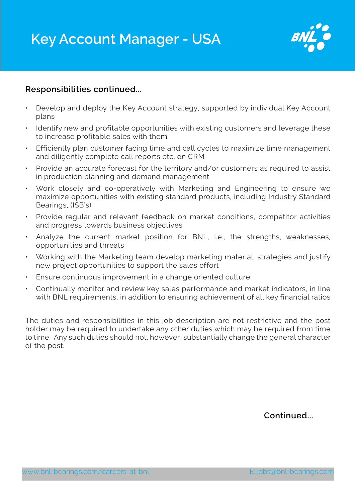## **Key Account Manager - USA**



## **Responsibilities continued...**

- Develop and deploy the Key Account strategy, supported by individual Key Account plans
- Identify new and profitable opportunities with existing customers and leverage these to increase profitable sales with them
- Efficiently plan customer facing time and call cycles to maximize time management and diligently complete call reports etc. on CRM
- Provide an accurate forecast for the territory and/or customers as required to assist in production planning and demand management
- Work closely and co-operatively with Marketing and Engineering to ensure we maximize opportunities with existing standard products, including Industry Standard Bearings, (ISB's)
- Provide regular and relevant feedback on market conditions, competitor activities and progress towards business objectives
- Analyze the current market position for BNL, i.e., the strengths, weaknesses, opportunities and threats
- Working with the Marketing team develop marketing material, strategies and justify new project opportunities to support the sales effort
- Ensure continuous improvement in a change oriented culture
- Continually monitor and review key sales performance and market indicators, in line with BNL requirements, in addition to ensuring achievement of all key financial ratios

The duties and responsibilities in this job description are not restrictive and the post holder may be required to undertake any other duties which may be required from time to time. Any such duties should not, however, substantially change the general character of the post.

**Continued...**